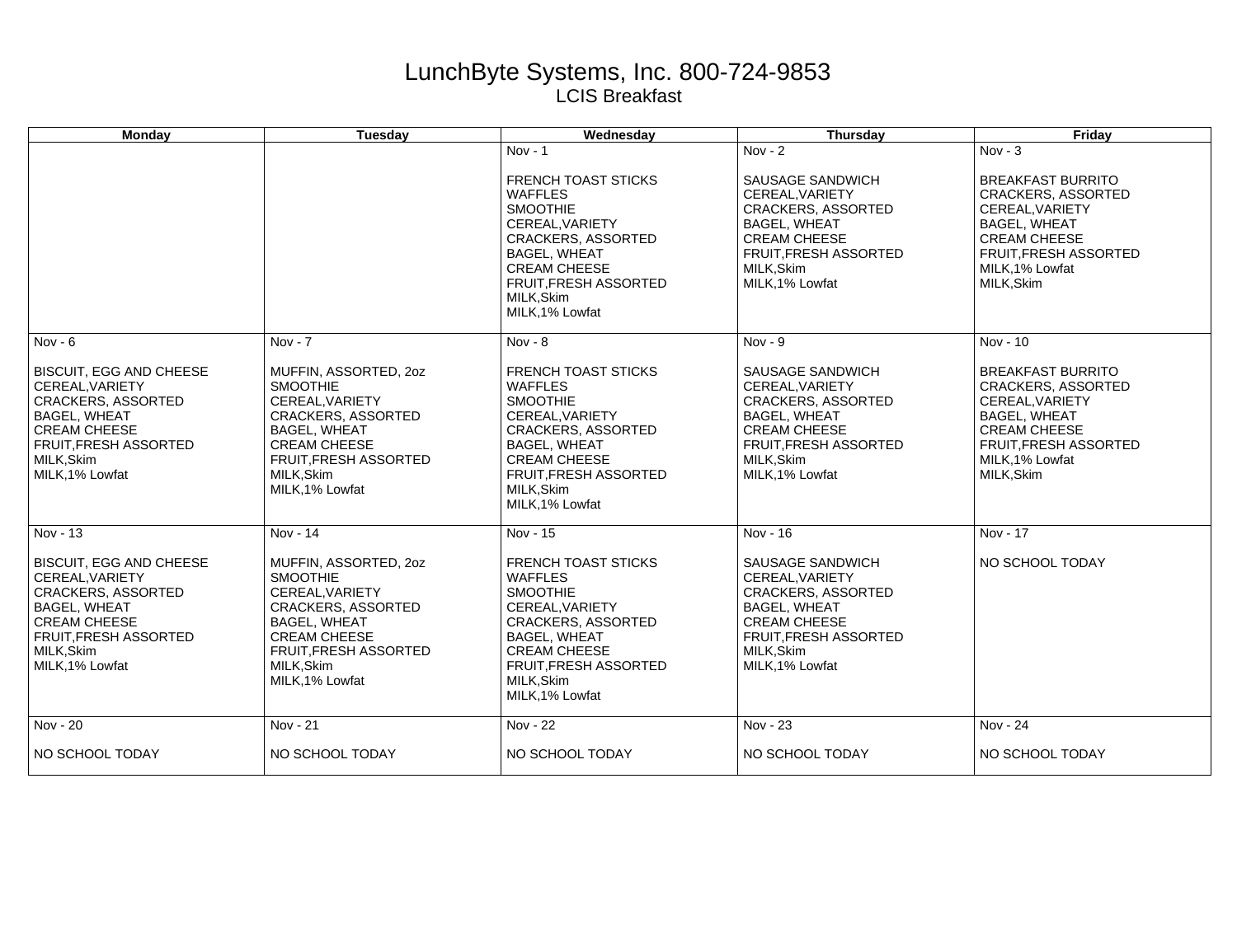## LunchByte Systems, Inc. 800-724-9853 LCIS Breakfast

| <b>Monday</b>                                                                                                                                                                          | <b>Tuesday</b>                                                                                                                                                                                          | Wednesday                                                                                                                                                                                                                                 | <b>Thursday</b>                                                                                                                                                                      | Friday                                                                                                                                                                                       |
|----------------------------------------------------------------------------------------------------------------------------------------------------------------------------------------|---------------------------------------------------------------------------------------------------------------------------------------------------------------------------------------------------------|-------------------------------------------------------------------------------------------------------------------------------------------------------------------------------------------------------------------------------------------|--------------------------------------------------------------------------------------------------------------------------------------------------------------------------------------|----------------------------------------------------------------------------------------------------------------------------------------------------------------------------------------------|
|                                                                                                                                                                                        |                                                                                                                                                                                                         | $Nov - 1$<br><b>FRENCH TOAST STICKS</b><br><b>WAFFLES</b><br><b>SMOOTHIE</b><br>CEREAL, VARIETY<br><b>CRACKERS, ASSORTED</b><br><b>BAGEL, WHEAT</b><br><b>CREAM CHEESE</b><br><b>FRUIT.FRESH ASSORTED</b><br>MILK.Skim<br>MILK, 1% Lowfat | Nov - $2$<br>SAUSAGE SANDWICH<br>CEREAL, VARIETY<br><b>CRACKERS, ASSORTED</b><br><b>BAGEL, WHEAT</b><br><b>CREAM CHEESE</b><br>FRUIT, FRESH ASSORTED<br>MILK, Skim<br>MILK.1% Lowfat | $Nov - 3$<br><b>BREAKFAST BURRITO</b><br><b>CRACKERS, ASSORTED</b><br>CEREAL, VARIETY<br><b>BAGEL, WHEAT</b><br><b>CREAM CHEESE</b><br>FRUIT, FRESH ASSORTED<br>MILK, 1% Lowfat<br>MILK.Skim |
| $Nov - 6$                                                                                                                                                                              | $Nov - 7$                                                                                                                                                                                               | Nov - $8$                                                                                                                                                                                                                                 | Nov - $\overline{9}$                                                                                                                                                                 | Nov - 10                                                                                                                                                                                     |
| <b>BISCUIT, EGG AND CHEESE</b><br>CEREAL, VARIETY<br><b>CRACKERS, ASSORTED</b><br><b>BAGEL, WHEAT</b><br><b>CREAM CHEESE</b><br>FRUIT, FRESH ASSORTED<br>MILK, Skim<br>MILK, 1% Lowfat | MUFFIN, ASSORTED, 20Z<br><b>SMOOTHIE</b><br>CEREAL, VARIETY<br><b>CRACKERS, ASSORTED</b><br><b>BAGEL, WHEAT</b><br><b>CREAM CHEESE</b><br>FRUIT, FRESH ASSORTED<br>MILK, Skim<br>MILK, 1% Lowfat        | <b>FRENCH TOAST STICKS</b><br><b>WAFFLES</b><br><b>SMOOTHIE</b><br>CEREAL.VARIETY<br><b>CRACKERS, ASSORTED</b><br><b>BAGEL, WHEAT</b><br><b>CREAM CHEESE</b><br>FRUIT, FRESH ASSORTED<br>MILK, Skim<br>MILK.1% Lowfat                     | SAUSAGE SANDWICH<br>CEREAL, VARIETY<br><b>CRACKERS, ASSORTED</b><br><b>BAGEL, WHEAT</b><br><b>CREAM CHEESE</b><br><b>FRUIT, FRESH ASSORTED</b><br>MILK.Skim<br>MILK, 1% Lowfat       | <b>BREAKFAST BURRITO</b><br><b>CRACKERS, ASSORTED</b><br>CEREAL, VARIETY<br><b>BAGEL, WHEAT</b><br><b>CREAM CHEESE</b><br>FRUIT, FRESH ASSORTED<br>MILK.1% Lowfat<br>MILK, Skim              |
| Nov - 13                                                                                                                                                                               | Nov - 14                                                                                                                                                                                                | Nov - 15                                                                                                                                                                                                                                  | Nov - 16                                                                                                                                                                             | Nov - 17                                                                                                                                                                                     |
| <b>BISCUIT, EGG AND CHEESE</b><br>CEREAL.VARIETY<br>CRACKERS, ASSORTED<br><b>BAGEL, WHEAT</b><br><b>CREAM CHEESE</b><br><b>FRUIT, FRESH ASSORTED</b><br>MILK, Skim<br>MILK, 1% Lowfat  | MUFFIN, ASSORTED, 20Z<br><b>SMOOTHIE</b><br>CEREAL, VARIETY<br><b>CRACKERS, ASSORTED</b><br><b>BAGEL, WHEAT</b><br><b>CREAM CHEESE</b><br><b>FRUIT, FRESH ASSORTED</b><br>MILK, Skim<br>MILK, 1% Lowfat | <b>FRENCH TOAST STICKS</b><br><b>WAFFLES</b><br><b>SMOOTHIE</b><br>CEREAL, VARIETY<br><b>CRACKERS, ASSORTED</b><br><b>BAGEL, WHEAT</b><br><b>CREAM CHEESE</b><br>FRUIT, FRESH ASSORTED<br>MILK, Skim<br>MILK, 1% Lowfat                   | SAUSAGE SANDWICH<br>CEREAL.VARIETY<br><b>CRACKERS, ASSORTED</b><br><b>BAGEL, WHEAT</b><br><b>CREAM CHEESE</b><br><b>FRUIT, FRESH ASSORTED</b><br>MILK, Skim<br>MILK, 1% Lowfat       | NO SCHOOL TODAY                                                                                                                                                                              |
| Nov - 20                                                                                                                                                                               | Nov - 21                                                                                                                                                                                                | Nov - 22                                                                                                                                                                                                                                  | Nov - 23                                                                                                                                                                             | Nov - 24                                                                                                                                                                                     |
| NO SCHOOL TODAY                                                                                                                                                                        | NO SCHOOL TODAY                                                                                                                                                                                         | NO SCHOOL TODAY                                                                                                                                                                                                                           | NO SCHOOL TODAY                                                                                                                                                                      | NO SCHOOL TODAY                                                                                                                                                                              |